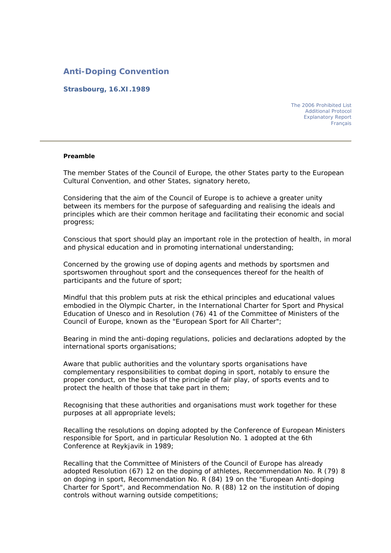# **Anti-Doping Convention**

**Strasbourg, 16.XI.1989** 

[The 2006 Prohibited List](http://conventions.coe.int/Treaty/en/Treaties/Html/135-2006.htm) [Additional Protocol](http://conventions.coe.int/Treaty/en/Treaties/Html/188.htm) [Explanatory Report](http://conventions.coe.int/Treaty/EN/Reports/Html/135.htm) [Français](http://conventions.coe.int/Treaty/FR/Treaties/Html/135.htm)

#### **Preamble**

The member States of the Council of Europe, the other States party to the European Cultural Convention, and other States, signatory hereto,

Considering that the aim of the Council of Europe is to achieve a greater unity between its members for the purpose of safeguarding and realising the ideals and principles which are their common heritage and facilitating their economic and social progress;

Conscious that sport should play an important role in the protection of health, in moral and physical education and in promoting international understanding;

Concerned by the growing use of doping agents and methods by sportsmen and sportswomen throughout sport and the consequences thereof for the health of participants and the future of sport;

Mindful that this problem puts at risk the ethical principles and educational values embodied in the Olympic Charter, in the International Charter for Sport and Physical Education of Unesco and in Resolution (76) 41 of the Committee of Ministers of the Council of Europe, known as the "European Sport for All Charter";

Bearing in mind the anti-doping regulations, policies and declarations adopted by the international sports organisations;

Aware that public authorities and the voluntary sports organisations have complementary responsibilities to combat doping in sport, notably to ensure the proper conduct, on the basis of the principle of fair play, of sports events and to protect the health of those that take part in them;

Recognising that these authorities and organisations must work together for these purposes at all appropriate levels;

Recalling the resolutions on doping adopted by the Conference of European Ministers responsible for Sport, and in particular Resolution No. 1 adopted at the 6th Conference at Reykjavik in 1989;

Recalling that the Committee of Ministers of the Council of Europe has already adopted Resolution (67) 12 on the doping of athletes, Recommendation No. R (79) 8 on doping in sport, Recommendation No. R (84) 19 on the "European Anti-doping Charter for Sport", and Recommendation No. R (88) 12 on the institution of doping controls without warning outside competitions;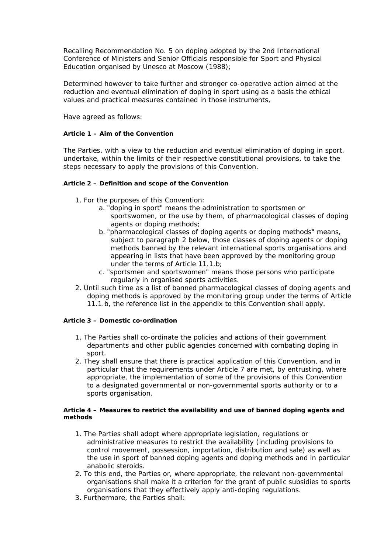Recalling Recommendation No. 5 on doping adopted by the 2nd International Conference of Ministers and Senior Officials responsible for Sport and Physical Education organised by Unesco at Moscow (1988);

Determined however to take further and stronger co-operative action aimed at the reduction and eventual elimination of doping in sport using as a basis the ethical values and practical measures contained in those instruments,

Have agreed as follows:

#### **Article 1 – Aim of the Convention**

The Parties, with a view to the reduction and eventual elimination of doping in sport, undertake, within the limits of their respective constitutional provisions, to take the steps necessary to apply the provisions of this Convention.

#### **Article 2 – Definition and scope of the Convention**

- 1. For the purposes of this Convention:
	- a. "doping in sport" means the administration to sportsmen or sportswomen, or the use by them, of pharmacological classes of doping agents or doping methods;
	- b. "pharmacological classes of doping agents or doping methods" means, subject to paragraph 2 below, those classes of doping agents or doping methods banned by the relevant international sports organisations and appearing in lists that have been approved by the monitoring group under the terms of Article 11.1.b;
	- c. "sportsmen and sportswomen" means those persons who participate regularly in organised sports activities.
- 2. Until such time as a list of banned pharmacological classes of doping agents and doping methods is approved by the monitoring group under the terms of Article 11.1.b, the reference list in the appendix to this Convention shall apply.

#### **Article 3 – Domestic co-ordination**

- 1. The Parties shall co-ordinate the policies and actions of their government departments and other public agencies concerned with combating doping in sport.
- 2. They shall ensure that there is practical application of this Convention, and in particular that the requirements under Article 7 are met, by entrusting, where appropriate, the implementation of some of the provisions of this Convention to a designated governmental or non-governmental sports authority or to a sports organisation.

#### **Article 4 – Measures to restrict the availability and use of banned doping agents and methods**

- 1. The Parties shall adopt where appropriate legislation, regulations or administrative measures to restrict the availability (including provisions to control movement, possession, importation, distribution and sale) as well as the use in sport of banned doping agents and doping methods and in particular anabolic steroids.
- 2. To this end, the Parties or, where appropriate, the relevant non-governmental organisations shall make it a criterion for the grant of public subsidies to sports organisations that they effectively apply anti-doping regulations.
- 3. Furthermore, the Parties shall: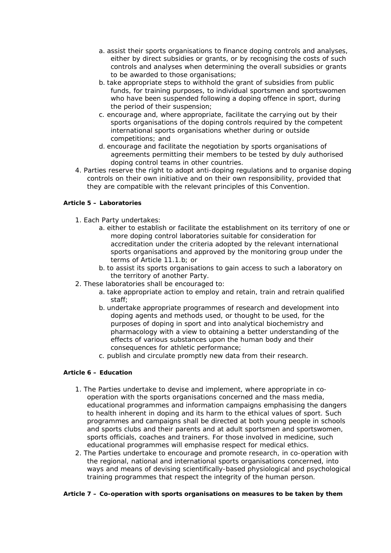- a. assist their sports organisations to finance doping controls and analyses, either by direct subsidies or grants, or by recognising the costs of such controls and analyses when determining the overall subsidies or grants to be awarded to those organisations;
- b. take appropriate steps to withhold the grant of subsidies from public funds, for training purposes, to individual sportsmen and sportswomen who have been suspended following a doping offence in sport, during the period of their suspension;
- c. encourage and, where appropriate, facilitate the carrying out by their sports organisations of the doping controls required by the competent international sports organisations whether during or outside competitions; and
- d. encourage and facilitate the negotiation by sports organisations of agreements permitting their members to be tested by duly authorised doping control teams in other countries.
- 4. Parties reserve the right to adopt anti-doping regulations and to organise doping controls on their own initiative and on their own responsibility, provided that they are compatible with the relevant principles of this Convention.

#### **Article 5 – Laboratories**

- 1. Each Party undertakes:
	- a. either to establish or facilitate the establishment on its territory of one or more doping control laboratories suitable for consideration for accreditation under the criteria adopted by the relevant international sports organisations and approved by the monitoring group under the terms of Article 11.1.b; or
	- b. to assist its sports organisations to gain access to such a laboratory on the territory of another Party.
- 2. These laboratories shall be encouraged to:
	- a. take appropriate action to employ and retain, train and retrain qualified staff;
	- b. undertake appropriate programmes of research and development into doping agents and methods used, or thought to be used, for the purposes of doping in sport and into analytical biochemistry and pharmacology with a view to obtaining a better understanding of the effects of various substances upon the human body and their consequences for athletic performance;
	- c. publish and circulate promptly new data from their research.

#### **Article 6 – Education**

- 1. The Parties undertake to devise and implement, where appropriate in cooperation with the sports organisations concerned and the mass media, educational programmes and information campaigns emphasising the dangers to health inherent in doping and its harm to the ethical values of sport. Such programmes and campaigns shall be directed at both young people in schools and sports clubs and their parents and at adult sportsmen and sportswomen, sports officials, coaches and trainers. For those involved in medicine, such educational programmes will emphasise respect for medical ethics.
- 2. The Parties undertake to encourage and promote research, in co-operation with the regional, national and international sports organisations concerned, into ways and means of devising scientifically-based physiological and psychological training programmes that respect the integrity of the human person.

#### **Article 7 – Co-operation with sports organisations on measures to be taken by them**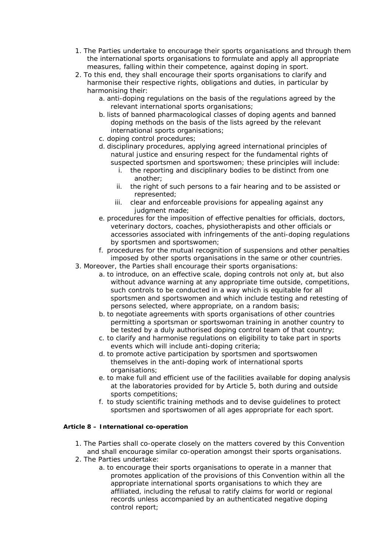- 1. The Parties undertake to encourage their sports organisations and through them the international sports organisations to formulate and apply all appropriate measures, falling within their competence, against doping in sport.
- 2. To this end, they shall encourage their sports organisations to clarify and harmonise their respective rights, obligations and duties, in particular by harmonising their:
	- a. anti-doping regulations on the basis of the regulations agreed by the relevant international sports organisations;
	- b. lists of banned pharmacological classes of doping agents and banned doping methods on the basis of the lists agreed by the relevant international sports organisations;
	- c. doping control procedures;
	- d. disciplinary procedures, applying agreed international principles of natural justice and ensuring respect for the fundamental rights of suspected sportsmen and sportswomen; these principles will include:
		- i. the reporting and disciplinary bodies to be distinct from one another;
		- ii. the right of such persons to a fair hearing and to be assisted or represented;
		- iii. clear and enforceable provisions for appealing against any judgment made;
	- e. procedures for the imposition of effective penalties for officials, doctors, veterinary doctors, coaches, physiotherapists and other officials or accessories associated with infringements of the anti-doping regulations by sportsmen and sportswomen;
	- f. procedures for the mutual recognition of suspensions and other penalties imposed by other sports organisations in the same or other countries.
- 3. Moreover, the Parties shall encourage their sports organisations:
	- a. to introduce, on an effective scale, doping controls not only at, but also without advance warning at any appropriate time outside, competitions, such controls to be conducted in a way which is equitable for all sportsmen and sportswomen and which include testing and retesting of persons selected, where appropriate, on a random basis;
	- b. to negotiate agreements with sports organisations of other countries permitting a sportsman or sportswoman training in another country to be tested by a duly authorised doping control team of that country;
	- c. to clarify and harmonise regulations on eligibility to take part in sports events which will include anti-doping criteria;
	- d. to promote active participation by sportsmen and sportswomen themselves in the anti-doping work of international sports organisations;
	- e. to make full and efficient use of the facilities available for doping analysis at the laboratories provided for by Article 5, both during and outside sports competitions;
	- f. to study scientific training methods and to devise guidelines to protect sportsmen and sportswomen of all ages appropriate for each sport.

# **Article 8 – International co-operation**

- 1. The Parties shall co-operate closely on the matters covered by this Convention and shall encourage similar co-operation amongst their sports organisations.
- 2. The Parties undertake:
	- a. to encourage their sports organisations to operate in a manner that promotes application of the provisions of this Convention within all the appropriate international sports organisations to which they are affiliated, including the refusal to ratify claims for world or regional records unless accompanied by an authenticated negative doping control report;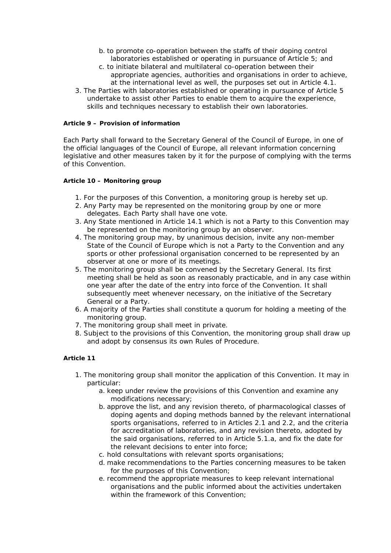- b. to promote co-operation between the staffs of their doping control laboratories established or operating in pursuance of Article 5; and
- c. to initiate bilateral and multilateral co-operation between their appropriate agencies, authorities and organisations in order to achieve, at the international level as well, the purposes set out in Article 4.1.
- 3. The Parties with laboratories established or operating in pursuance of Article 5 undertake to assist other Parties to enable them to acquire the experience, skills and techniques necessary to establish their own laboratories.

#### **Article 9 – Provision of information**

Each Party shall forward to the Secretary General of the Council of Europe, in one of the official languages of the Council of Europe, all relevant information concerning legislative and other measures taken by it for the purpose of complying with the terms of this Convention.

#### **Article 10 – Monitoring group**

- 1. For the purposes of this Convention, a monitoring group is hereby set up.
- 2. Any Party may be represented on the monitoring group by one or more delegates. Each Party shall have one vote.
- 3. Any State mentioned in Article 14.1 which is not a Party to this Convention may be represented on the monitoring group by an observer.
- 4. The monitoring group may, by unanimous decision, invite any non-member State of the Council of Europe which is not a Party to the Convention and any sports or other professional organisation concerned to be represented by an observer at one or more of its meetings.
- 5. The monitoring group shall be convened by the Secretary General. Its first meeting shall be held as soon as reasonably practicable, and in any case within one year after the date of the entry into force of the Convention. It shall subsequently meet whenever necessary, on the initiative of the Secretary General or a Party.
- 6. A majority of the Parties shall constitute a quorum for holding a meeting of the monitoring group.
- 7. The monitoring group shall meet in private.
- 8. Subject to the provisions of this Convention, the monitoring group shall draw up and adopt by consensus its own Rules of Procedure.

#### **Article 11**

- 1. The monitoring group shall monitor the application of this Convention. It may in particular:
	- a. keep under review the provisions of this Convention and examine any modifications necessary;
	- b. approve the list, and any revision thereto, of pharmacological classes of doping agents and doping methods banned by the relevant international sports organisations, referred to in Articles 2.1 and 2.2, and the criteria for accreditation of laboratories, and any revision thereto, adopted by the said organisations, referred to in Article 5.1.a, and fix the date for the relevant decisions to enter into force;
	- c. hold consultations with relevant sports organisations;
	- d. make recommendations to the Parties concerning measures to be taken for the purposes of this Convention;
	- e. recommend the appropriate measures to keep relevant international organisations and the public informed about the activities undertaken within the framework of this Convention;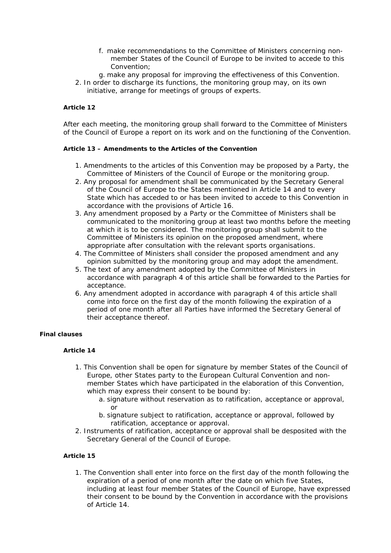- f. make recommendations to the Committee of Ministers concerning nonmember States of the Council of Europe to be invited to accede to this Convention;
- g. make any proposal for improving the effectiveness of this Convention.
- 2. In order to discharge its functions, the monitoring group may, on its own initiative, arrange for meetings of groups of experts.

## **Article 12**

After each meeting, the monitoring group shall forward to the Committee of Ministers of the Council of Europe a report on its work and on the functioning of the Convention.

#### **Article 13 – Amendments to the Articles of the Convention**

- 1. Amendments to the articles of this Convention may be proposed by a Party, the Committee of Ministers of the Council of Europe or the monitoring group.
- 2. Any proposal for amendment shall be communicated by the Secretary General of the Council of Europe to the States mentioned in Article 14 and to every State which has acceded to or has been invited to accede to this Convention in accordance with the provisions of Article 16.
- 3. Any amendment proposed by a Party or the Committee of Ministers shall be communicated to the monitoring group at least two months before the meeting at which it is to be considered. The monitoring group shall submit to the Committee of Ministers its opinion on the proposed amendment, where appropriate after consultation with the relevant sports organisations.
- 4. The Committee of Ministers shall consider the proposed amendment and any opinion submitted by the monitoring group and may adopt the amendment.
- 5. The text of any amendment adopted by the Committee of Ministers in accordance with paragraph 4 of this article shall be forwarded to the Parties for acceptance.
- 6. Any amendment adopted in accordance with paragraph 4 of this article shall come into force on the first day of the month following the expiration of a period of one month after all Parties have informed the Secretary General of their acceptance thereof.

#### **Final clauses**

#### **Article 14**

- 1. This Convention shall be open for signature by member States of the Council of Europe, other States party to the European Cultural Convention and nonmember States which have participated in the elaboration of this Convention, which may express their consent to be bound by:
	- a. signature without reservation as to ratification, acceptance or approval, or
	- b. signature subject to ratification, acceptance or approval, followed by ratification, acceptance or approval.
- 2. Instruments of ratification, acceptance or approval shall be desposited with the Secretary General of the Council of Europe.

# **Article 15**

1. The Convention shall enter into force on the first day of the month following the expiration of a period of one month after the date on which five States, including at least four member States of the Council of Europe, have expressed their consent to be bound by the Convention in accordance with the provisions of Article 14.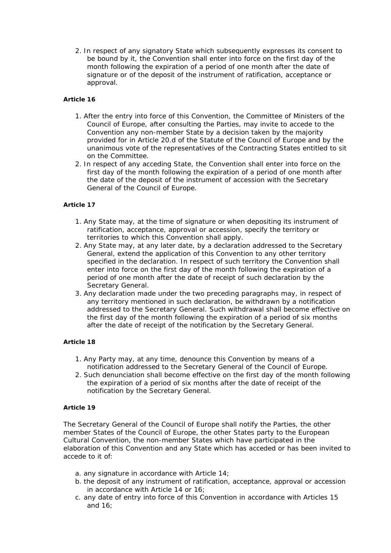2. In respect of any signatory State which subsequently expresses its consent to be bound by it, the Convention shall enter into force on the first day of the month following the expiration of a period of one month after the date of signature or of the deposit of the instrument of ratification, acceptance or approval.

## **Article 16**

- 1. After the entry into force of this Convention, the Committee of Ministers of the Council of Europe, after consulting the Parties, may invite to accede to the Convention any non-member State by a decision taken by the majority provided for in Article 20.d of the Statute of the Council of Europe and by the unanimous vote of the representatives of the Contracting States entitled to sit on the Committee.
- 2. In respect of any acceding State, the Convention shall enter into force on the first day of the month following the expiration of a period of one month after the date of the deposit of the instrument of accession with the Secretary General of the Council of Europe.

# **Article 17**

- 1. Any State may, at the time of signature or when depositing its instrument of ratification, acceptance, approval or accession, specify the territory or territories to which this Convention shall apply.
- 2. Any State may, at any later date, by a declaration addressed to the Secretary General, extend the application of this Convention to any other territory specified in the declaration. In respect of such territory the Convention shall enter into force on the first day of the month following the expiration of a period of one month after the date of receipt of such declaration by the Secretary General.
- 3. Any declaration made under the two preceding paragraphs may, in respect of any territory mentioned in such declaration, be withdrawn by a notification addressed to the Secretary General. Such withdrawal shall become effective on the first day of the month following the expiration of a period of six months after the date of receipt of the notification by the Secretary General.

# **Article 18**

- 1. Any Party may, at any time, denounce this Convention by means of a notification addressed to the Secretary General of the Council of Europe.
- 2. Such denunciation shall become effective on the first day of the month following the expiration of a period of six months after the date of receipt of the notification by the Secretary General.

#### **Article 19**

The Secretary General of the Council of Europe shall notify the Parties, the other member States of the Council of Europe, the other States party to the European Cultural Convention, the non-member States which have participated in the elaboration of this Convention and any State which has acceded or has been invited to accede to it of:

- a. any signature in accordance with Article 14;
- b. the deposit of any instrument of ratification, acceptance, approval or accession in accordance with Article 14 or 16;
- c. any date of entry into force of this Convention in accordance with Articles 15 and 16;